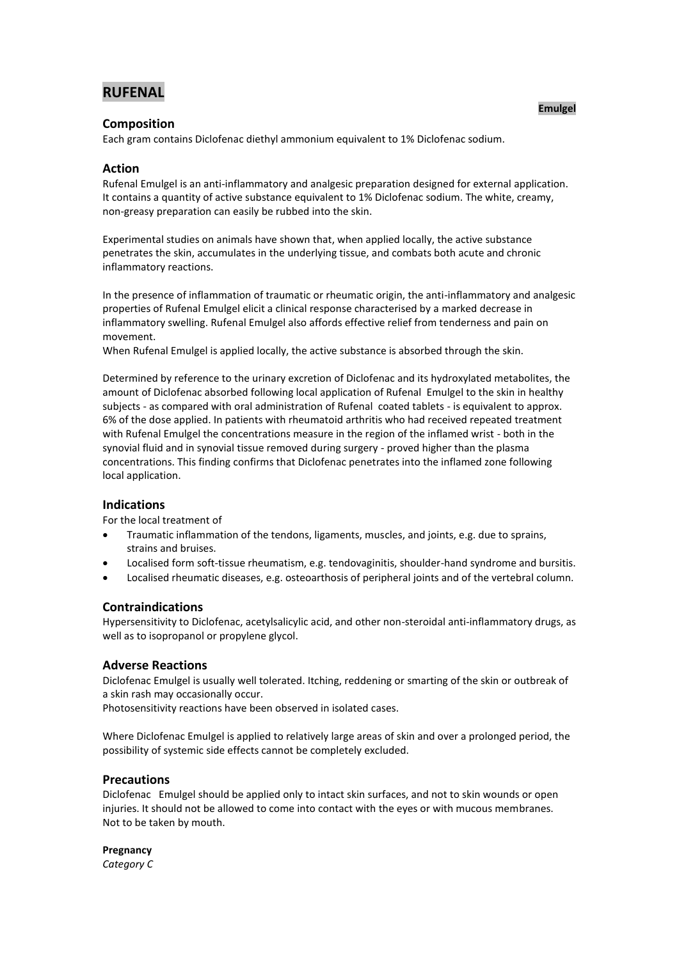# **RUFENAL**

## **Composition**

Each gram contains Diclofenac diethyl ammonium equivalent to 1% Diclofenac sodium.

## **Action**

Rufenal Emulgel is an anti-inflammatory and analgesic preparation designed for external application. It contains a quantity of active substance equivalent to 1% Diclofenac sodium. The white, creamy, non-greasy preparation can easily be rubbed into the skin.

Experimental studies on animals have shown that, when applied locally, the active substance penetrates the skin, accumulates in the underlying tissue, and combats both acute and chronic inflammatory reactions.

In the presence of inflammation of traumatic or rheumatic origin, the anti-inflammatory and analgesic properties of Rufenal Emulgel elicit a clinical response characterised by a marked decrease in inflammatory swelling. Rufenal Emulgel also affords effective relief from tenderness and pain on movement.

When Rufenal Emulgel is applied locally, the active substance is absorbed through the skin.

Determined by reference to the urinary excretion of Diclofenac and its hydroxylated metabolites, the amount of Diclofenac absorbed following local application of Rufenal Emulgel to the skin in healthy subjects - as compared with oral administration of Rufenal coated tablets - is equivalent to approx. 6% of the dose applied. In patients with rheumatoid arthritis who had received repeated treatment with Rufenal Emulgel the concentrations measure in the region of the inflamed wrist - both in the synovial fluid and in synovial tissue removed during surgery - proved higher than the plasma concentrations. This finding confirms that Diclofenac penetrates into the inflamed zone following local application.

#### **Indications**

For the local treatment of

- Traumatic inflammation of the tendons, ligaments, muscles, and joints, e.g. due to sprains, strains and bruises.
- Localised form soft-tissue rheumatism, e.g. tendovaginitis, shoulder-hand syndrome and bursitis.
- Localised rheumatic diseases, e.g. osteoarthosis of peripheral joints and of the vertebral column.

#### **Contraindications**

Hypersensitivity to Diclofenac, acetylsalicylic acid, and other non-steroidal anti-inflammatory drugs, as well as to isopropanol or propylene glycol.

#### **Adverse Reactions**

Diclofenac Emulgel is usually well tolerated. Itching, reddening or smarting of the skin or outbreak of a skin rash may occasionally occur.

Photosensitivity reactions have been observed in isolated cases.

Where Diclofenac Emulgel is applied to relatively large areas of skin and over a prolonged period, the possibility of systemic side effects cannot be completely excluded.

#### **Precautions**

Diclofenac Emulgel should be applied only to intact skin surfaces, and not to skin wounds or open injuries. It should not be allowed to come into contact with the eyes or with mucous membranes. Not to be taken by mouth.

**Pregnancy** *Category C*

#### **Emulgel**